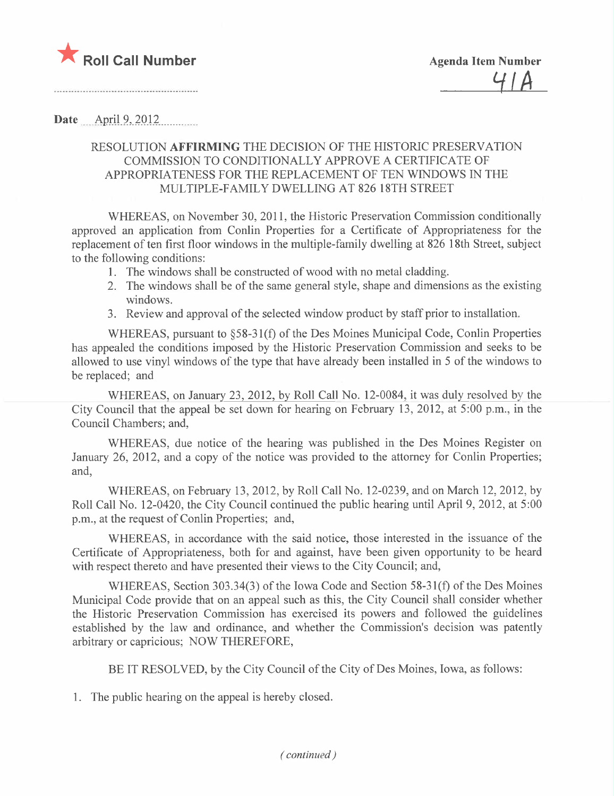

Date April 9, 2012

# RESOLUTION AFFIRMING THE DECISION OF THE HISTORIC PRESERVATION COMMISSION TO CONDITIONALLY APPROVE A CERTIFICATE OF APPROPRIATENESS FOR THE REPLACEMENT OF TEN WINDOWS IN THE MULTIPLE-FAMILY DWELLING AT 826 18TH STREET

WHEREAS, on November 30,2011, the Historic Preservation Commission conditionally approved an application from Conlin Properties for a Certificate of Appropriateness for the replacement of ten first floor windows in the multiple-family dwelling at 826 18th Street, subject to the following conditions:

- 1. The windows shall be constructed of wood with no metal cladding.
- 2. The windows shall be of the same general style, shape and dimensions as the existing windows.
- 3. Review and approval of the selected window product by staff prior to installation.

WHEREAS, pursuant to §58-31(f) of the Des Moines Municipal Code, Conlin Properties has appealed the conditions imposed by the Historic Preservation Commission and seeks to be allowed to use vinyl windows of the type that have already been installed in 5 of the windows to be replaced; and

WHEREAS, on January 23, 2012, by Roll Call No. 12-0084, it was duly resolved by the City Council that the appeal be set down for hearing on February 13, 2012, at 5:00 p.m., in the Council Chambers; and,

WHEREAS, due notice of the hearing was published in the Des Moines Register on January 26, 2012, and a copy of the notice was provided to the attorney for Conlin Properties; and,

WHEREAS, on February 13,2012, by Roll Call No. 12-0239, and on March 12,2012, by Roll Call No. 12-0420, the City Council continued the public hearing until April 9, 2012, at 5:00 p.m., at the request of Conlin Properties; and,

WHEREAS, in accordance with the said notice, those interested in the issuance of the Certificate of Appropriateness, both for and against, have been given opportunity to be heard with respect thereto and have presented their views to the City Council; and,

WHEREAS, Section 303.34(3) of the Iowa Code and Section 58-31(f) of the Des Moines Municipal Code provide that on an appeal such as this, the City Council shall consider whether the Historic Preservation Commission has exercised its powers and followed the guidelines established by the law and ordinance, and whether the Commission's decision was patently arbitrary or capricious; NOW THEREFORE,

BE IT RESOLVED, by the City Council of the City of Des Moines, Iowa, as follows:

1. The public hearing on the appeal is hereby closed.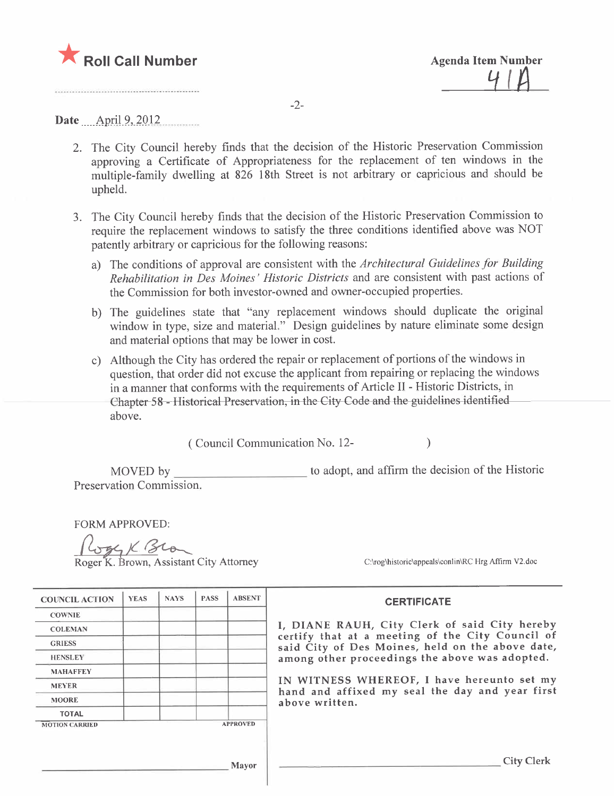

-2-

Date April 9, 2012

- 2. The City Council hereby finds that the decision of the Historic Preservation Commission approving a Certificate of Appropriateness for the replacement of ten windows in the multiple-family dwelling at 826 18th Street is not arbitrary or capricious and should be upheld.
- 3. The City Council hereby finds that the decision of the Historic Preservation Commission to require the replacement windows to satisfy the three conditions identified above was NOT patently arbitrary or capricious for the following reasons:
	- a) The conditions of approval are consistent with the Architectural Guidelines for Building Rehabilitation in Des Moines' Historic Districts and are consistent with past actions of the Commission for both investor-owned and owner-occupied properties.
	- b) The guidelines state that "any replacement windows should duplicate the original window in type, size and material." Design guidelines by nature eliminate some design and material options that may be lower in cost.
	- c) Although the City has ordered the repair or replacement of portions of the windows in question, that order did not excuse the applicant from repairing or replacing the windows in a manner that conforms with the requirements of Article II - Historic Districts, in Chapter 58 - Historical Preservation, in the City-Code and the guidelines identified above.

( Council Communication No. 12- )

MOVED by Preservation Commission. to adopt, and affrm the decision of the Historic

FORM APPROVED:

Roger K. Brown, Assistant City Attorney  $\frac{C_{\text{cyc}}}{C_{\text{cyc}}\text{historic\,appeak\,conlin\,RC~Hrg~Affirm~V2.doc}}$ 

| <b>COUNCIL ACTION</b> | <b>YEAS</b> | <b>NAYS</b> | <b>PASS</b> | <b>ABSENT</b>   | <b>CERTIFICATE</b>                                                                                   |  |  |  |
|-----------------------|-------------|-------------|-------------|-----------------|------------------------------------------------------------------------------------------------------|--|--|--|
| <b>COWNIE</b>         |             |             |             |                 |                                                                                                      |  |  |  |
| <b>COLEMAN</b>        |             |             |             |                 | I, DIANE RAUH, City Clerk of said City hereby                                                        |  |  |  |
| <b>GRIESS</b>         |             |             |             |                 | certify that at a meeting of the City Council of<br>said City of Des Moines, held on the above date, |  |  |  |
| <b>HENSLEY</b>        |             |             |             |                 | among other proceedings the above was adopted.                                                       |  |  |  |
| <b>MAHAFFEY</b>       |             |             |             |                 |                                                                                                      |  |  |  |
| <b>MEYER</b>          |             |             |             |                 | IN WITNESS WHEREOF, I have hereunto set my                                                           |  |  |  |
| <b>MOORE</b>          |             |             |             |                 | hand and affixed my seal the day and year first<br>above written.                                    |  |  |  |
| <b>TOTAL</b>          |             |             |             |                 |                                                                                                      |  |  |  |
| <b>MOTION CARRIED</b> |             |             |             | <b>APPROVED</b> |                                                                                                      |  |  |  |
|                       |             |             |             | Mayor           | <b>City Clerk</b>                                                                                    |  |  |  |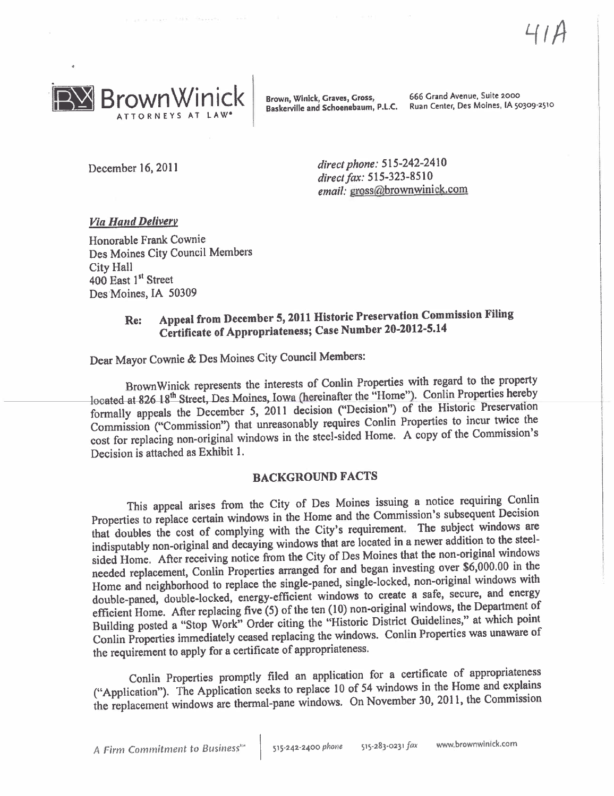

Baskerville and Schoenebaum, P.L.C.

Brown, Winick, Graves, Gross, 666 Grand Avenue, Suite 2000<br>Baskerville and Schoenebaum. P.L.C. Ruan Center. Des Moines, IA 50309-2510

December 16, 2011 direct phone: 515-242-2410 direct fax: 515-323-8510 email: gross@brownwinick.com

### Via Hand Deliverv

Honorable Frank Cownie Des Moines City Council Members City Hall 400 East 1<sup>st</sup> Street Des'Moines, IA 50309

# Re: Appeal from December 5, 2011 Historic Preservation Commission Filng Certificate of Appropriateness; Case Number 20-2012-5.14

Dear Mayor Cownie & Des Moines City Council Members:

Brown Winick represents the interests of Conlin Properties with regard to the property located at 826 18<sup>th</sup> Street, Des Moines, Iowa (hereinafter the "Home"). Conlin Properties hereby located-at-826-18" Street,-Des-Moines, Jowa-Cherenaire the "Home"). Committee properties in Properties hereby formally appeals the December 5, 2011 decision ("Decision") of the Historic Preservation Commission ("Commission") that unreasonably requires Conlin Properties to incur twice the cost for replacing non-original windows in the steel-sided Home. A copy of the Commission's Decision is attached as Exhibit 1.

### BACKGROUND FACTS

This appeal arises from the City of Des Moines issuing a notice requiring Conlin Properties to replace certain windows in the Home and the Commission's subsequent Decision that doubles the cost of complying with the City's requirement. The subject windows are indisputably non-original and decaying windows that are located in a newer addition to the steelsided Home. After receiving notice from the City of Des Moines that the non-original windows needed replacement, Conlin Properties arranged for and began investing over \$6,000.00 in the Home and neighborhood to replace the single-paned, single-locked, non-original windows with double-paned, double-locked, energy-efficient windows to create a safe, secure, and energy efficient Home. After replacing five (5) of the ten (10) non-original windows, the Department of Building posted a "Stop Work" Order citing the "Historic District Guidelines," at which point Conlin Properties immediately ceased replacing the windows. Conlin Properties was unaware of the requirement to apply for a certificate of appropriateness.

Conlin Properties promptly filed an application for a certificate of appropriateness ("Application"). The Application seeks to replace 10 of 54 windows in the Home and explains ("Application"). The Application seeks to replace 10 of 54 while the  $m$  are seemed. the replacement windows are thermal-pane windows. On November 30, 2011, the Commission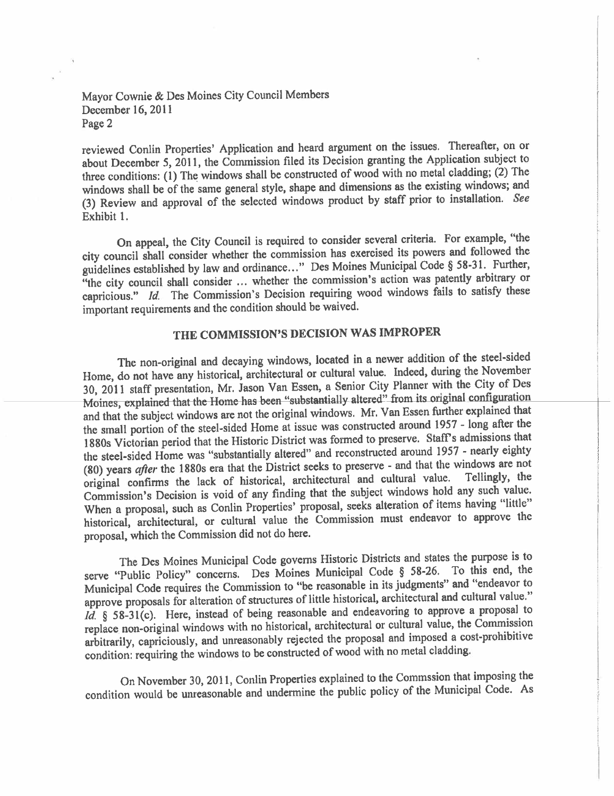### Mayor Cownie & Des Moines City Council Members December 16, 2011 Page 2

reviewed Conlin Properties' Application and heard argument on the issues. Thereafter, on or about December 5, 2011, the Commission fied its Decision granting the Application subject to three conditions: (1) The windows shall be constructed of wood with no metal cladding; (2) The windows shall be of the same general style, shape and dimensions as the existing windows; and (3) Review and approval of the selected windows product by staff prior to installation. See Exhibit 1.

On appeal, the City Council is required to consider several criteria. For example, "the city council shall consider whether the commission has exercised its powers and followed the guidelines established by law and ordinance..." Des Moines Municipal Code § 58-31. Further, "the city council shall consider ... whether the commission's action was patently arbitrary or capricious." Id. The Commission's Decision requiring wood windows fails to satisfy these important requirements and the condition should be waived.

# THE COMMISSION'S DECISION WAS IMPROPER

The non-original and decaying windows, located in a newer addition of the steel-sided Home, do not have any historical, architectural or cultural value. Indeed, during the November 30, 2011 staff presentation, Mr. Jason Van Essen, a Senior City Planner with the City of Des Moines, explained that the Home-has-been "substantially altered" from its original configuration and that the subject windows are not the original windows. Mr. Van Essen further explained that the small portion of the steel-sided Home at issue was constructed around 1957 - long after the 1880s Victorian period that the Historic District was formed to preserve. Staff's admissions that the steel-sided Home was "substantially altered" and reconstructed around 1957 - nearly eighty (80) years *after* the 1880s era that the District seeks to preserve - and that the windows are not (60) years after the 1880s era that the District seeks to preserve and cultural value. Tellingly, the original confirms the lack of historical, architectural and cultural value. Tellingly, the original confirms the lack of historical, architectural and cultural value. Tellngly, the Commission's Decision is void of any finding that the subject windows hold any such value. When a proposal, such as Conlin Properties' proposal, seeks alteration of items having "little" historical, architectural, or cultural value the Commission must endeavor to approve the proposal, which the Commission did not do here.

The Des Moines Municipal Code governs Historic Districts and states the purpose is to serve "Public Policy" concerns. Des Moines Municipal Code § 58-26. To this end, the Municipal Code requires the Commission to "be reasonable in its judgments" and "endeavor to approve proposals for alteration of structures of little historical, architectural and cultural value."<br>Id.  $\S$  58-31(c). Here, instead of being reasonable and endeavoring to approve a proposal to  $1a$ , § 58-31(c). Here, instead of being reasonable and endeavoring to approximate the proposal to  $\alpha$ replace non-original windows with no historical, architectural or cultural value, the Commission arbitrarily, capriciously, and unreasonably rejected the proposal and imposed a cost-prohibitive condition: requiring the windows to be constructed of wood with no metal cladding.

On November 30,2011, Conlin Properties explained to the Commssion that imposing the condition would be unreasonable and undermine the public policy of the Municipal Code. As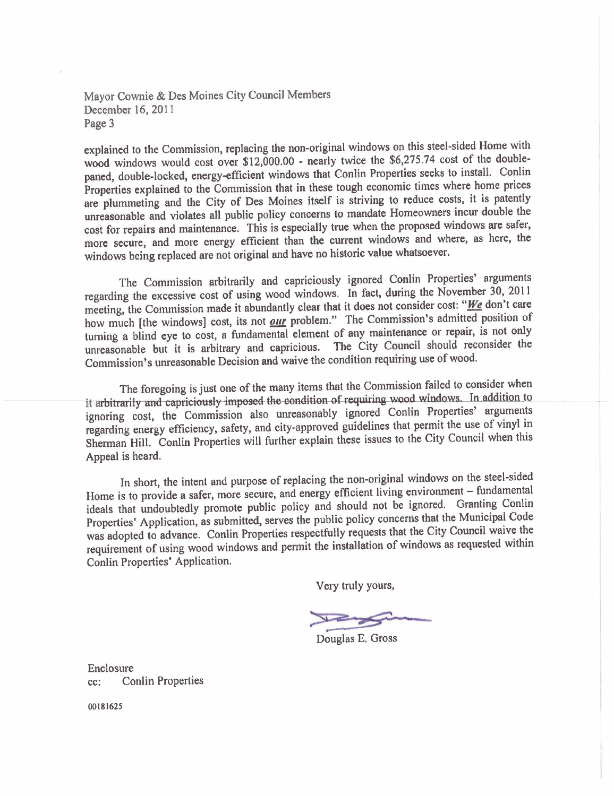### Mayor Cownie & Des Moines City Council Members December 16, 2011 Page 3

explained to the Commission, replacing the non-original windows on this steel-sided Home with wood windows would cost over \$12,000.00 - nearly twice the \$6,275.74 cost of the doublepaned, double-locked, energy-efficient windows that Conlin Properties seeks to install. Conlin Properties explained to the Commission that in these tough economic times where home prices are plummeting and the City of Des Moines itself is striving to reduce costs, it is patently unreasonable and violates all public policy concerns to mandate Homeowners incur double the cost for repairs and maintenance. This is especially true when the proposed windows are safer, more secure, and more energy efficient than the current windows and where, as here, the windows being replaced are not original and have no historic value whatsoever.

The Commission arbitrarily and capriciously ignored Conlin Properties' arguments regarding the excessive cost of using wood windows. In fact, during the November 30, 2011 meeting, the Commission made it abundantly clear that it does not consider cost: "We don't care how much [the windows] cost, its not *our* problem." The Commission's admitted position of turning a blind eye to cost, a fundamental element of any maintenance or repair, is not only unreasonable but it is arbitrary and capricious. The City Council should reconsider the Commission's unreasonable Decision and waive the condition requiring use of wood.

The foregoing is just one of the many items that the Commission failed to consider when it arbitrarily and capriciously-imposed the condition of requiring wood windows. In addition to ignoring cost, the Commission also unreasonably ignored Conlin Properties' arguments regarding energy efficiency, safety, and city-approved guidelines that permit the use of vinyl in Sherman Hill. Conlin Properties will further explain these issues to the City Council when this Appeal is heard.

In short, the intent and purpose of replacing the non-original windows on the steel-sided Home is to provide a safer, more secure, and energy efficient living environment - fundamental ideals that undoubtedly promote public policy and should not be ignored. Granting Conlin Properties' Application, as submitted, serves the public policy concerns that the Municipal Code was adopted to advance. Conlin Properties respectfully requests that the City Council waive the requirement of using wood windows and permit the installation of windows as requested within Conlin Properties' Application.

Very truly yours,

~-~ Douglas E. Gross

Enclosure cc: Conlin Properties

00181625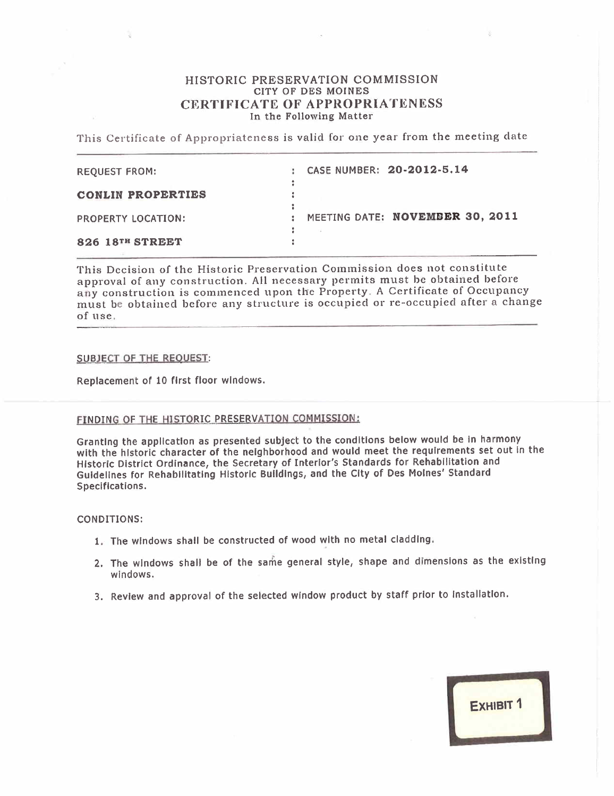#### HISTORIC PRESERVATION COMMISSION CITY OF DES MOINES CERTIFICATE OF APPROPRIATENESS In the Following Matter

This Certificate of Appropriateness is valid for one year from the meeting date

| <b>REQUEST FROM:</b>     | CASE NUMBER: 20-2012-5.14       |
|--------------------------|---------------------------------|
| <b>CONLIN PROPERTIES</b> |                                 |
| PROPERTY LOCATION:       | MEETING DATE: NOVEMBER 30, 2011 |
| 826 18TH STREET          |                                 |

This Decision of the Historic Preservation Commission does not constitute approval of any construction. All necessary permits must be obtained before any construction is commenced upon the Property. A Certificate of Occupancy must be obtained before any structure is occupied or re-occupied after a change of use.

#### SUBJECT OF THE REQUEST:

Replacement of 10 first floor windows.

### FINDING OF THE HISTORIC PRESERVATION COMMISSION:

Granting the application as presented subject to the conditions below would be In harmony with the historic character of the neighborhood and would meet the requirements set out in the Historic District Ordinance, the Secretary of Interior's Standards for Rehabilitation and Guidelines for Rehabilitating Historic Buildings, and the City of Des Moines' Standard Specifications.

#### CONDITIONS:

- 1. The windows shall be constructed of wood with no metal cladding.
- 2. The windows shall be of the same general style, shape and dimensions as the existing windows.
- 3. Review and approval of the selected window product by staff prior to Installation.

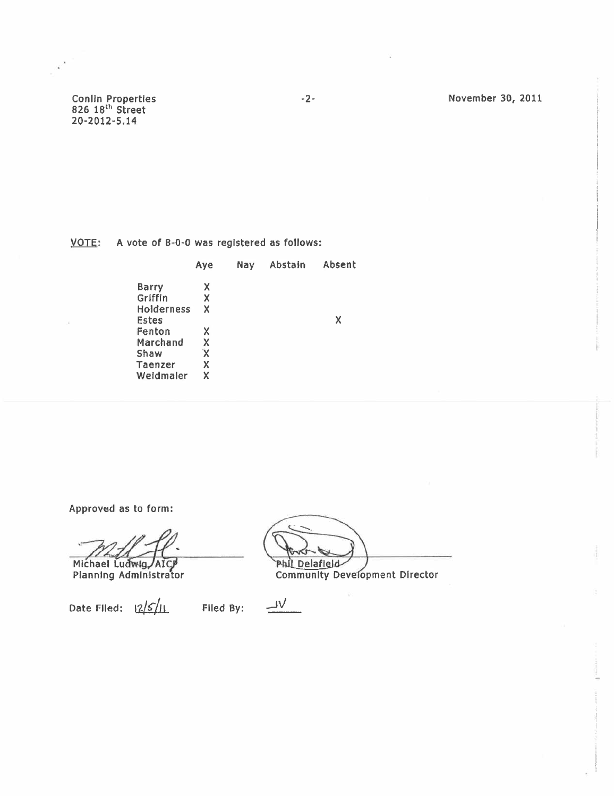Conlin Properties<br>826 18<sup>th</sup> Street<br>20-2012-5.14

November 30, 2011

 $VOTE$ : A vote of 8-0-0 was registered as follows:</u>

|                   | Aye | Nay | Abstain | Absent |
|-------------------|-----|-----|---------|--------|
| <b>Barry</b>      | х   |     |         |        |
| Griffin           | x   |     |         |        |
| <b>Holderness</b> | x   |     |         |        |
| Estes             |     |     |         | x      |
| Fenton            | x   |     |         |        |
| Marchand          | X   |     |         |        |
| Shaw              | X   |     |         |        |
| Taenzer           | Χ   |     |         |        |
| Weidmaler         | x   |     |         |        |

 $-2-$ 

Approved as to form:

Michael Ludwig AICP<br>Planning Administrator

Date Filed:  $\frac{2}{5}$ Filed By:

**Phil Delafield Community Development Director** 

 $\overline{\mathsf{v}}$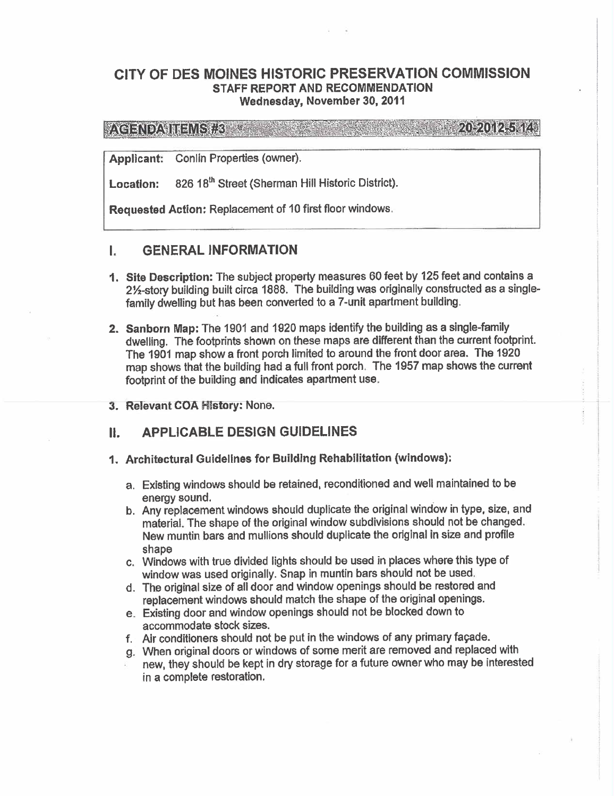## CITY OF DES MOINES HISTORIC PRESERVATION COMMISSION STAFF REPORT AND RECOMMENDATION Wednesday, November 30, 2011

**VACENDAMENS REAL**  $\{1,2,3,4,2,5,6,8\}$ 

Applicant: Conlin Properties (owner).

Location: 826 18<sup>th</sup> Street (Sherman Hill Historic District).

Requested Action: Replacement of 10 first floor windows.

# **I. GENERAL INFORMATION**

- 1. Site Description: The subject property measures 60 feet by 125 feet and contains a 2%-story building built circa 1888. The building was originally constructed as a singlefamily dwelling but has been converted to a 7-unit apartment building.
- 2. Sanborn Map: The 1901 and 1920 maps identify the building as a single-family dwelling. The footprints shown on these maps are different than the current footprint. The 1901 map show a front porch limited to around the front door area. The 1920 map shows that the building had a full front porch. The 1957 map shows the current footprint of the building and indicates apartment use.
- 3. Relevant COA History: None.

# II. APPLICABLE DESIGN GUIDELINES

- 1. Architectural Guidelines for Building Rehabiltation (windows):
	- a. Existing windows should be retained, reconditioned and well maintained to be energy sound.
	- b. Any replacement windows should duplicate the original window in type, size, and materiaL. The shape of the original window subdivisions should not be changed. New muntin bars and mullons should duplicate the original in size and profile shape
	- c. Windows with true divided lights should be used in places where this type of window was used originally. Snap in muntin bars should not be used.
	- d. The original size of all door and window openings should be restored and replacement windows should match the shape of the original openings.
	- e. Existing door and window openings should not be blocked down to accommodate stock sizes.
	- f. Air conditioners should not be put in the windows of any primary façade.
	- g. When original doors or windows of some merit are removed and replaced with new, they should be kept in dry storage for a future owner who may be interested in a complete restoration.